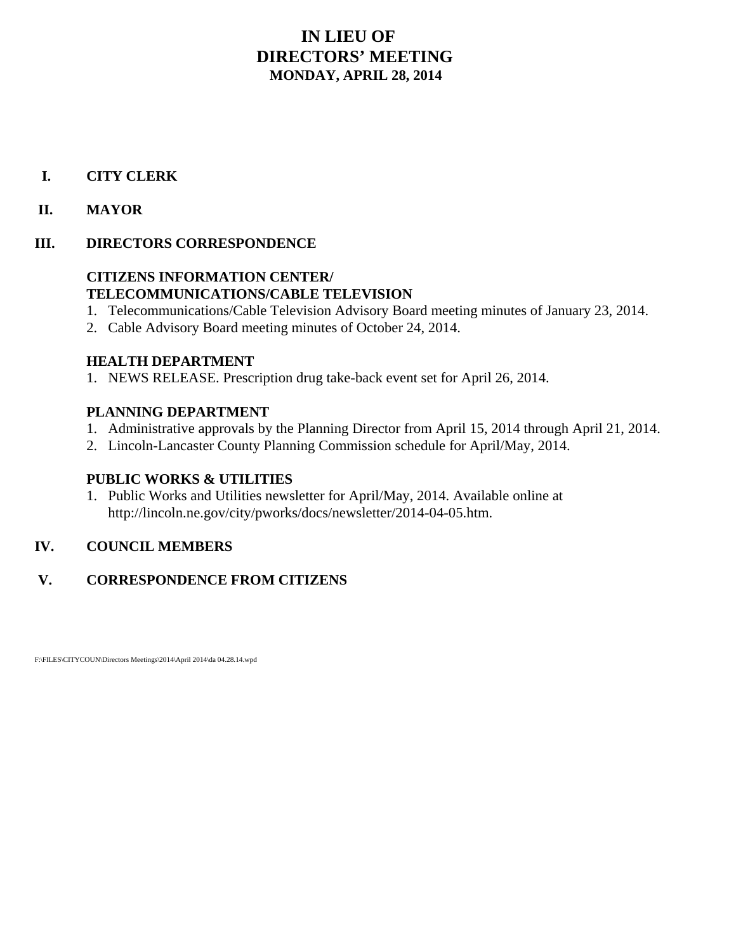## **IN LIEU OF DIRECTORS' MEETING MONDAY, APRIL 28, 2014**

## **I. CITY CLERK**

## **II. MAYOR**

## **III. DIRECTORS CORRESPONDENCE**

## **CITIZENS INFORMATION CENTER/ TELECOMMUNICATIONS/CABLE TELEVISION**

- 1. Telecommunications/Cable Television Advisory Board meeting minutes of January 23, 2014.
- 2. Cable Advisory Board meeting minutes of October 24, 2014.

## **HEALTH DEPARTMENT**

1. NEWS RELEASE. Prescription drug take-back event set for April 26, 2014.

## **PLANNING DEPARTMENT**

- 1. Administrative approvals by the Planning Director from April 15, 2014 through April 21, 2014.
- 2. Lincoln-Lancaster County Planning Commission schedule for April/May, 2014.

## **PUBLIC WORKS & UTILITIES**

1. Public Works and Utilities newsletter for April/May, 2014. Available online at http://lincoln.ne.gov/city/pworks/docs/newsletter/2014-04-05.htm.

## **IV. COUNCIL MEMBERS**

## **V. CORRESPONDENCE FROM CITIZENS**

F:\FILES\CITYCOUN\Directors Meetings\2014\April 2014\da 04.28.14.wpd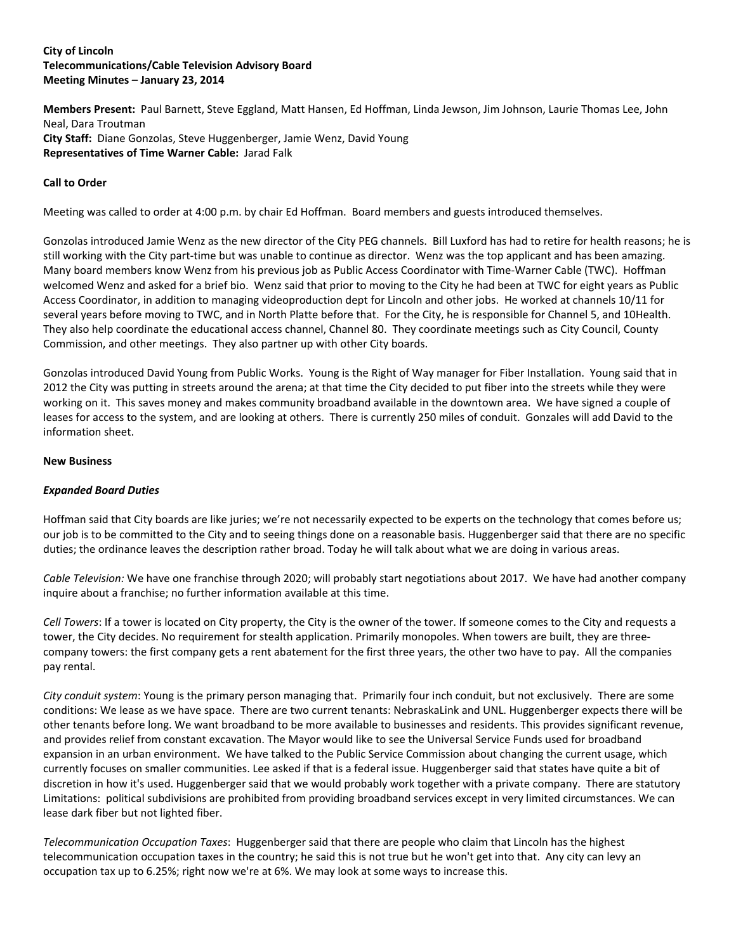#### **City of Lincoln Telecommunications/Cable Television Advisory Board Meeting Minutes – January 23, 2014**

**Members Present:** Paul Barnett, Steve Eggland, Matt Hansen, Ed Hoffman, Linda Jewson, Jim Johnson, Laurie Thomas Lee, John Neal, Dara Troutman **City Staff:** Diane Gonzolas, Steve Huggenberger, Jamie Wenz, David Young **Representatives of Time Warner Cable:** Jarad Falk

#### **Call to Order**

Meeting was called to order at 4:00 p.m. by chair Ed Hoffman. Board members and guests introduced themselves.

Gonzolas introduced Jamie Wenz as the new director of the City PEG channels. Bill Luxford has had to retire for health reasons; he is still working with the City part-time but was unable to continue as director. Wenz was the top applicant and has been amazing. Many board members know Wenz from his previous job as Public Access Coordinator with Time-Warner Cable (TWC). Hoffman welcomed Wenz and asked for a brief bio. Wenz said that prior to moving to the City he had been at TWC for eight years as Public Access Coordinator, in addition to managing videoproduction dept for Lincoln and other jobs. He worked at channels 10/11 for several years before moving to TWC, and in North Platte before that. For the City, he is responsible for Channel 5, and 10Health. They also help coordinate the educational access channel, Channel 80. They coordinate meetings such as City Council, County Commission, and other meetings. They also partner up with other City boards.

Gonzolas introduced David Young from Public Works. Young is the Right of Way manager for Fiber Installation. Young said that in 2012 the City was putting in streets around the arena; at that time the City decided to put fiber into the streets while they were working on it. This saves money and makes community broadband available in the downtown area. We have signed a couple of leases for access to the system, and are looking at others. There is currently 250 miles of conduit. Gonzales will add David to the information sheet.

#### **New Business**

#### *Expanded Board Duties*

Hoffman said that City boards are like juries; we're not necessarily expected to be experts on the technology that comes before us; our job is to be committed to the City and to seeing things done on a reasonable basis. Huggenberger said that there are no specific duties; the ordinance leaves the description rather broad. Today he will talk about what we are doing in various areas.

*Cable Television:* We have one franchise through 2020; will probably start negotiations about 2017. We have had another company inquire about a franchise; no further information available at this time.

*Cell Towers*: If a tower is located on City property, the City is the owner of the tower. If someone comes to the City and requests a tower, the City decides. No requirement for stealth application. Primarily monopoles. When towers are built, they are threecompany towers: the first company gets a rent abatement for the first three years, the other two have to pay. All the companies pay rental.

*City conduit system*: Young is the primary person managing that. Primarily four inch conduit, but not exclusively. There are some conditions: We lease as we have space. There are two current tenants: NebraskaLink and UNL. Huggenberger expects there will be other tenants before long. We want broadband to be more available to businesses and residents. This provides significant revenue, and provides relief from constant excavation. The Mayor would like to see the Universal Service Funds used for broadband expansion in an urban environment. We have talked to the Public Service Commission about changing the current usage, which currently focuses on smaller communities. Lee asked if that is a federal issue. Huggenberger said that states have quite a bit of discretion in how it's used. Huggenberger said that we would probably work together with a private company. There are statutory Limitations: political subdivisions are prohibited from providing broadband services except in very limited circumstances. We can lease dark fiber but not lighted fiber.

*Telecommunication Occupation Taxes*: Huggenberger said that there are people who claim that Lincoln has the highest telecommunication occupation taxes in the country; he said this is not true but he won't get into that. Any city can levy an occupation tax up to 6.25%; right now we're at 6%. We may look at some ways to increase this.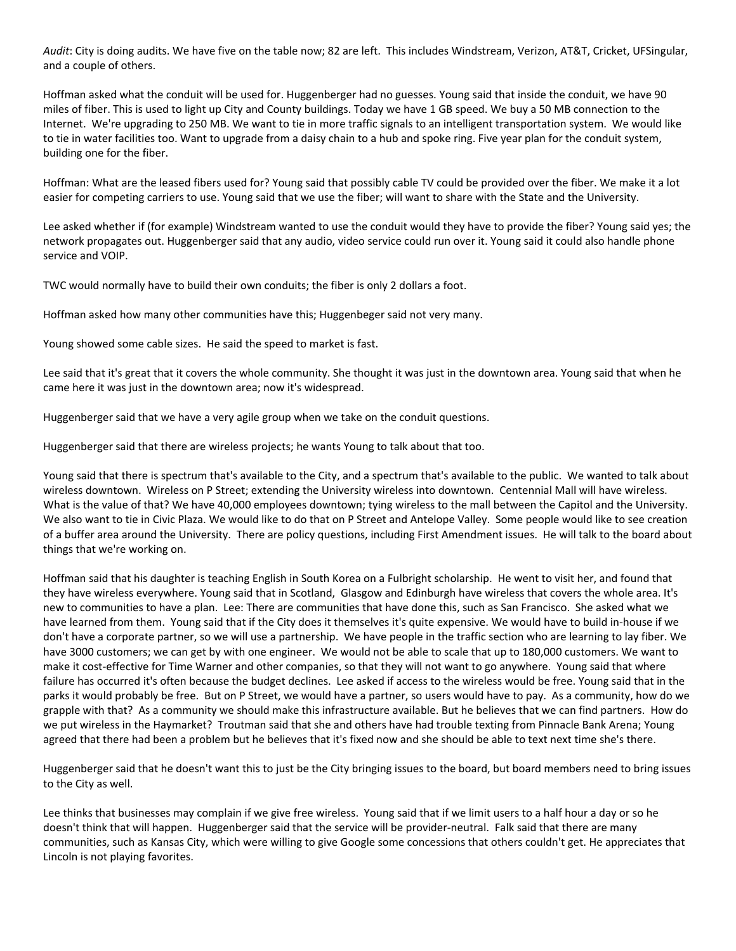*Audit*: City is doing audits. We have five on the table now; 82 are left. This includes Windstream, Verizon, AT&T, Cricket, UFSingular, and a couple of others.

Hoffman asked what the conduit will be used for. Huggenberger had no guesses. Young said that inside the conduit, we have 90 miles of fiber. This is used to light up City and County buildings. Today we have 1 GB speed. We buy a 50 MB connection to the Internet. We're upgrading to 250 MB. We want to tie in more traffic signals to an intelligent transportation system. We would like to tie in water facilities too. Want to upgrade from a daisy chain to a hub and spoke ring. Five year plan for the conduit system, building one for the fiber.

Hoffman: What are the leased fibers used for? Young said that possibly cable TV could be provided over the fiber. We make it a lot easier for competing carriers to use. Young said that we use the fiber; will want to share with the State and the University.

Lee asked whether if (for example) Windstream wanted to use the conduit would they have to provide the fiber? Young said yes; the network propagates out. Huggenberger said that any audio, video service could run over it. Young said it could also handle phone service and VOIP.

TWC would normally have to build their own conduits; the fiber is only 2 dollars a foot.

Hoffman asked how many other communities have this; Huggenbeger said not very many.

Young showed some cable sizes. He said the speed to market is fast.

Lee said that it's great that it covers the whole community. She thought it was just in the downtown area. Young said that when he came here it was just in the downtown area; now it's widespread.

Huggenberger said that we have a very agile group when we take on the conduit questions.

Huggenberger said that there are wireless projects; he wants Young to talk about that too.

Young said that there is spectrum that's available to the City, and a spectrum that's available to the public. We wanted to talk about wireless downtown. Wireless on P Street; extending the University wireless into downtown. Centennial Mall will have wireless. What is the value of that? We have 40,000 employees downtown; tying wireless to the mall between the Capitol and the University. We also want to tie in Civic Plaza. We would like to do that on P Street and Antelope Valley. Some people would like to see creation of a buffer area around the University. There are policy questions, including First Amendment issues. He will talk to the board about things that we're working on.

Hoffman said that his daughter is teaching English in South Korea on a Fulbright scholarship. He went to visit her, and found that they have wireless everywhere. Young said that in Scotland, Glasgow and Edinburgh have wireless that covers the whole area. It's new to communities to have a plan. Lee: There are communities that have done this, such as San Francisco. She asked what we have learned from them. Young said that if the City does it themselves it's quite expensive. We would have to build in-house if we don't have a corporate partner, so we will use a partnership. We have people in the traffic section who are learning to lay fiber. We have 3000 customers; we can get by with one engineer. We would not be able to scale that up to 180,000 customers. We want to make it cost-effective for Time Warner and other companies, so that they will not want to go anywhere. Young said that where failure has occurred it's often because the budget declines. Lee asked if access to the wireless would be free. Young said that in the parks it would probably be free. But on P Street, we would have a partner, so users would have to pay. As a community, how do we grapple with that? As a community we should make this infrastructure available. But he believes that we can find partners. How do we put wireless in the Haymarket? Troutman said that she and others have had trouble texting from Pinnacle Bank Arena; Young agreed that there had been a problem but he believes that it's fixed now and she should be able to text next time she's there.

Huggenberger said that he doesn't want this to just be the City bringing issues to the board, but board members need to bring issues to the City as well.

Lee thinks that businesses may complain if we give free wireless. Young said that if we limit users to a half hour a day or so he doesn't think that will happen. Huggenberger said that the service will be provider-neutral. Falk said that there are many communities, such as Kansas City, which were willing to give Google some concessions that others couldn't get. He appreciates that Lincoln is not playing favorites.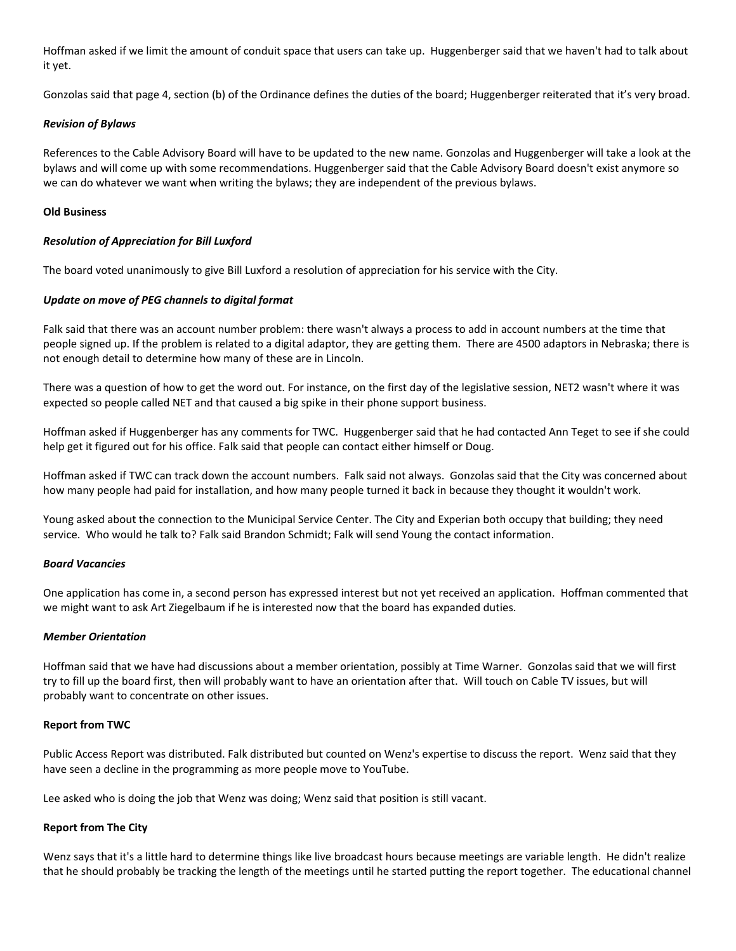Hoffman asked if we limit the amount of conduit space that users can take up. Huggenberger said that we haven't had to talk about it yet.

Gonzolas said that page 4, section (b) of the Ordinance defines the duties of the board; Huggenberger reiterated that it's very broad.

#### *Revision of Bylaws*

References to the Cable Advisory Board will have to be updated to the new name. Gonzolas and Huggenberger will take a look at the bylaws and will come up with some recommendations. Huggenberger said that the Cable Advisory Board doesn't exist anymore so we can do whatever we want when writing the bylaws; they are independent of the previous bylaws.

#### **Old Business**

#### *Resolution of Appreciation for Bill Luxford*

The board voted unanimously to give Bill Luxford a resolution of appreciation for his service with the City.

#### *Update on move of PEG channels to digital format*

Falk said that there was an account number problem: there wasn't always a process to add in account numbers at the time that people signed up. If the problem is related to a digital adaptor, they are getting them. There are 4500 adaptors in Nebraska; there is not enough detail to determine how many of these are in Lincoln.

There was a question of how to get the word out. For instance, on the first day of the legislative session, NET2 wasn't where it was expected so people called NET and that caused a big spike in their phone support business.

Hoffman asked if Huggenberger has any comments for TWC. Huggenberger said that he had contacted Ann Teget to see if she could help get it figured out for his office. Falk said that people can contact either himself or Doug.

Hoffman asked if TWC can track down the account numbers. Falk said not always. Gonzolas said that the City was concerned about how many people had paid for installation, and how many people turned it back in because they thought it wouldn't work.

Young asked about the connection to the Municipal Service Center. The City and Experian both occupy that building; they need service. Who would he talk to? Falk said Brandon Schmidt; Falk will send Young the contact information.

#### *Board Vacancies*

One application has come in, a second person has expressed interest but not yet received an application. Hoffman commented that we might want to ask Art Ziegelbaum if he is interested now that the board has expanded duties.

#### *Member Orientation*

Hoffman said that we have had discussions about a member orientation, possibly at Time Warner. Gonzolas said that we will first try to fill up the board first, then will probably want to have an orientation after that. Will touch on Cable TV issues, but will probably want to concentrate on other issues.

#### **Report from TWC**

Public Access Report was distributed. Falk distributed but counted on Wenz's expertise to discuss the report. Wenz said that they have seen a decline in the programming as more people move to YouTube.

Lee asked who is doing the job that Wenz was doing; Wenz said that position is still vacant.

#### **Report from The City**

Wenz says that it's a little hard to determine things like live broadcast hours because meetings are variable length. He didn't realize that he should probably be tracking the length of the meetings until he started putting the report together. The educational channel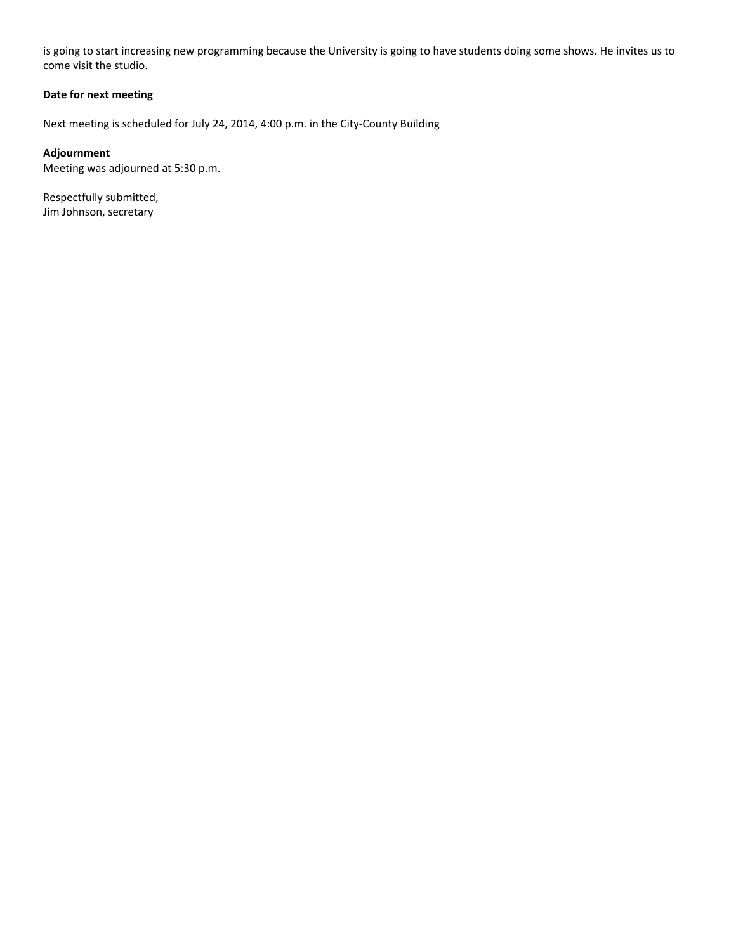is going to start increasing new programming because the University is going to have students doing some shows. He invites us to come visit the studio.

### **Date for next meeting**

Next meeting is scheduled for July 24, 2014, 4:00 p.m. in the City-County Building

#### **Adjournment**

Meeting was adjourned at 5:30 p.m.

Respectfully submitted, Jim Johnson, secretary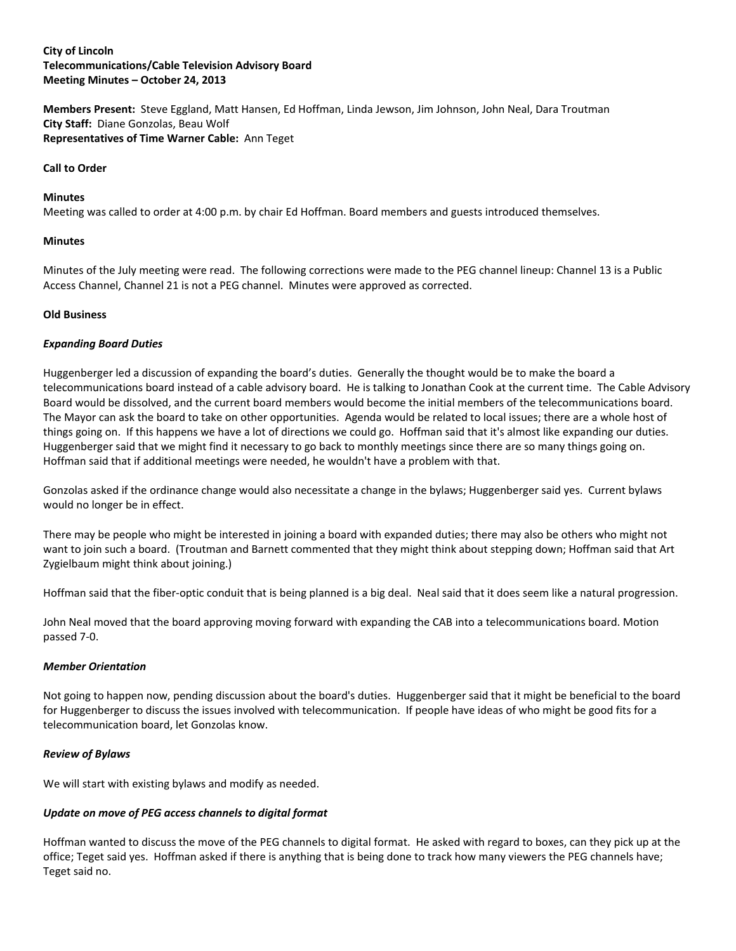#### **City of Lincoln Telecommunications/Cable Television Advisory Board Meeting Minutes – October 24, 2013**

**Members Present:** Steve Eggland, Matt Hansen, Ed Hoffman, Linda Jewson, Jim Johnson, John Neal, Dara Troutman **City Staff:** Diane Gonzolas, Beau Wolf **Representatives of Time Warner Cable:** Ann Teget

#### **Call to Order**

#### **Minutes**

Meeting was called to order at 4:00 p.m. by chair Ed Hoffman. Board members and guests introduced themselves.

#### **Minutes**

Minutes of the July meeting were read. The following corrections were made to the PEG channel lineup: Channel 13 is a Public Access Channel, Channel 21 is not a PEG channel. Minutes were approved as corrected.

#### **Old Business**

#### *Expanding Board Duties*

Huggenberger led a discussion of expanding the board's duties. Generally the thought would be to make the board a telecommunications board instead of a cable advisory board. He is talking to Jonathan Cook at the current time. The Cable Advisory Board would be dissolved, and the current board members would become the initial members of the telecommunications board. The Mayor can ask the board to take on other opportunities. Agenda would be related to local issues; there are a whole host of things going on. If this happens we have a lot of directions we could go. Hoffman said that it's almost like expanding our duties. Huggenberger said that we might find it necessary to go back to monthly meetings since there are so many things going on. Hoffman said that if additional meetings were needed, he wouldn't have a problem with that.

Gonzolas asked if the ordinance change would also necessitate a change in the bylaws; Huggenberger said yes. Current bylaws would no longer be in effect.

There may be people who might be interested in joining a board with expanded duties; there may also be others who might not want to join such a board. (Troutman and Barnett commented that they might think about stepping down; Hoffman said that Art Zygielbaum might think about joining.)

Hoffman said that the fiber-optic conduit that is being planned is a big deal. Neal said that it does seem like a natural progression.

John Neal moved that the board approving moving forward with expanding the CAB into a telecommunications board. Motion passed 7-0.

#### *Member Orientation*

Not going to happen now, pending discussion about the board's duties. Huggenberger said that it might be beneficial to the board for Huggenberger to discuss the issues involved with telecommunication. If people have ideas of who might be good fits for a telecommunication board, let Gonzolas know.

#### *Review of Bylaws*

We will start with existing bylaws and modify as needed.

#### *Update on move of PEG access channels to digital format*

Hoffman wanted to discuss the move of the PEG channels to digital format. He asked with regard to boxes, can they pick up at the office; Teget said yes. Hoffman asked if there is anything that is being done to track how many viewers the PEG channels have; Teget said no.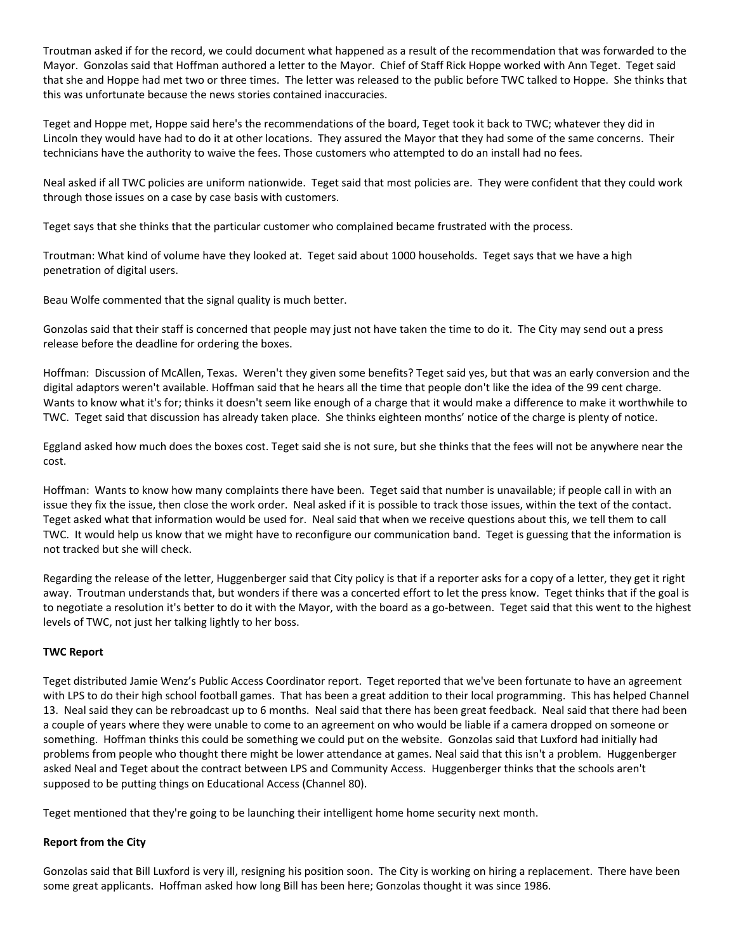Troutman asked if for the record, we could document what happened as a result of the recommendation that was forwarded to the Mayor. Gonzolas said that Hoffman authored a letter to the Mayor. Chief of Staff Rick Hoppe worked with Ann Teget. Teget said that she and Hoppe had met two or three times. The letter was released to the public before TWC talked to Hoppe. She thinks that this was unfortunate because the news stories contained inaccuracies.

Teget and Hoppe met, Hoppe said here's the recommendations of the board, Teget took it back to TWC; whatever they did in Lincoln they would have had to do it at other locations. They assured the Mayor that they had some of the same concerns. Their technicians have the authority to waive the fees. Those customers who attempted to do an install had no fees.

Neal asked if all TWC policies are uniform nationwide. Teget said that most policies are. They were confident that they could work through those issues on a case by case basis with customers.

Teget says that she thinks that the particular customer who complained became frustrated with the process.

Troutman: What kind of volume have they looked at. Teget said about 1000 households. Teget says that we have a high penetration of digital users.

Beau Wolfe commented that the signal quality is much better.

Gonzolas said that their staff is concerned that people may just not have taken the time to do it. The City may send out a press release before the deadline for ordering the boxes.

Hoffman: Discussion of McAllen, Texas. Weren't they given some benefits? Teget said yes, but that was an early conversion and the digital adaptors weren't available. Hoffman said that he hears all the time that people don't like the idea of the 99 cent charge. Wants to know what it's for; thinks it doesn't seem like enough of a charge that it would make a difference to make it worthwhile to TWC. Teget said that discussion has already taken place. She thinks eighteen months' notice of the charge is plenty of notice.

Eggland asked how much does the boxes cost. Teget said she is not sure, but she thinks that the fees will not be anywhere near the cost.

Hoffman: Wants to know how many complaints there have been. Teget said that number is unavailable; if people call in with an issue they fix the issue, then close the work order. Neal asked if it is possible to track those issues, within the text of the contact. Teget asked what that information would be used for. Neal said that when we receive questions about this, we tell them to call TWC. It would help us know that we might have to reconfigure our communication band. Teget is guessing that the information is not tracked but she will check.

Regarding the release of the letter, Huggenberger said that City policy is that if a reporter asks for a copy of a letter, they get it right away. Troutman understands that, but wonders if there was a concerted effort to let the press know. Teget thinks that if the goal is to negotiate a resolution it's better to do it with the Mayor, with the board as a go-between. Teget said that this went to the highest levels of TWC, not just her talking lightly to her boss.

### **TWC Report**

Teget distributed Jamie Wenz's Public Access Coordinator report. Teget reported that we've been fortunate to have an agreement with LPS to do their high school football games. That has been a great addition to their local programming. This has helped Channel 13. Neal said they can be rebroadcast up to 6 months. Neal said that there has been great feedback. Neal said that there had been a couple of years where they were unable to come to an agreement on who would be liable if a camera dropped on someone or something. Hoffman thinks this could be something we could put on the website. Gonzolas said that Luxford had initially had problems from people who thought there might be lower attendance at games. Neal said that this isn't a problem. Huggenberger asked Neal and Teget about the contract between LPS and Community Access. Huggenberger thinks that the schools aren't supposed to be putting things on Educational Access (Channel 80).

Teget mentioned that they're going to be launching their intelligent home home security next month.

#### **Report from the City**

Gonzolas said that Bill Luxford is very ill, resigning his position soon. The City is working on hiring a replacement. There have been some great applicants. Hoffman asked how long Bill has been here; Gonzolas thought it was since 1986.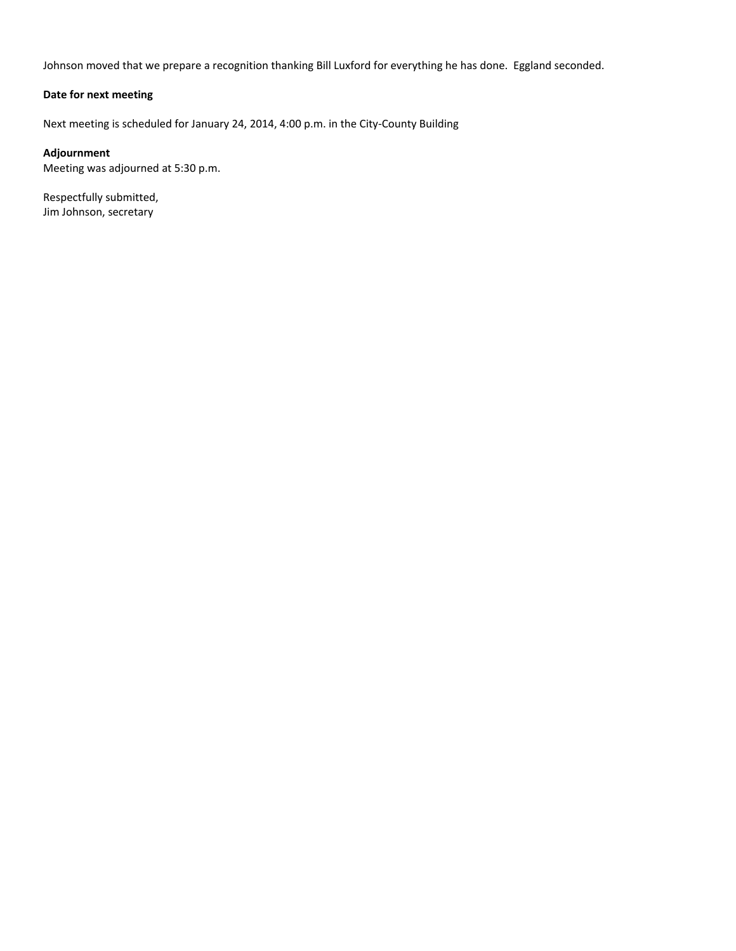Johnson moved that we prepare a recognition thanking Bill Luxford for everything he has done. Eggland seconded.

### **Date for next meeting**

Next meeting is scheduled for January 24, 2014, 4:00 p.m. in the City-County Building

#### **Adjournment**

Meeting was adjourned at 5:30 p.m.

Respectfully submitted, Jim Johnson, secretary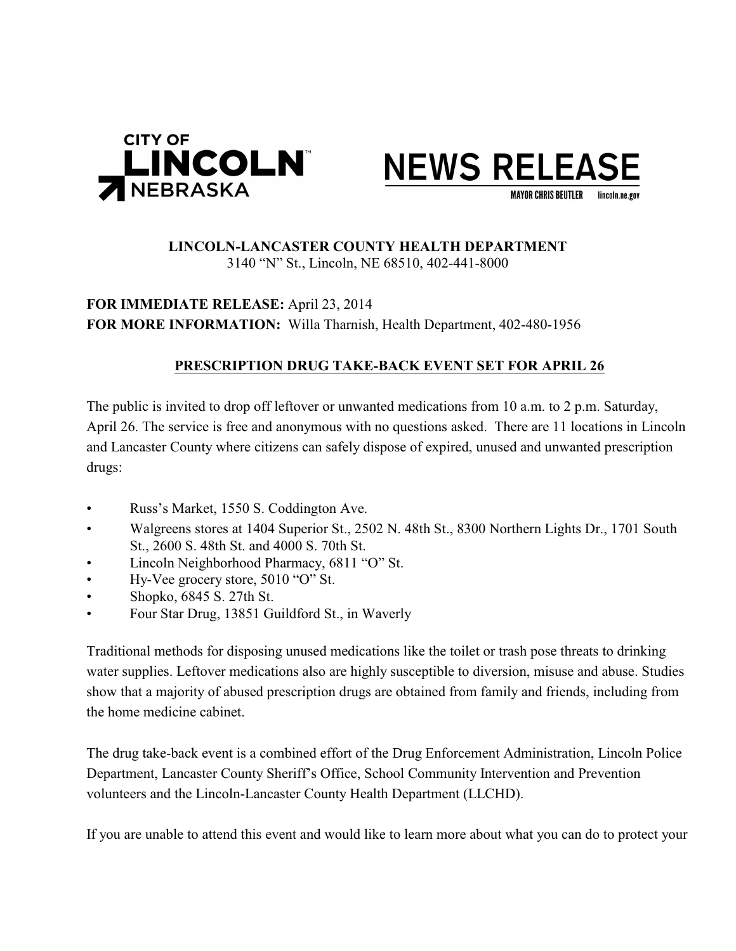



## **LINCOLN-LANCASTER COUNTY HEALTH DEPARTMENT** 3140 "N" St., Lincoln, NE 68510, 402-441-8000

**FOR IMMEDIATE RELEASE:** April 23, 2014 **FOR MORE INFORMATION:** Willa Tharnish, Health Department, 402-480-1956

## **PRESCRIPTION DRUG TAKE-BACK EVENT SET FOR APRIL 26**

The public is invited to drop off leftover or unwanted medications from 10 a.m. to 2 p.m. Saturday, April 26. The service is free and anonymous with no questions asked. There are 11 locations in Lincoln and Lancaster County where citizens can safely dispose of expired, unused and unwanted prescription drugs:

- Russ's Market, 1550 S. Coddington Ave.
- Walgreens stores at 1404 Superior St., 2502 N. 48th St., 8300 Northern Lights Dr., 1701 South St., 2600 S. 48th St. and 4000 S. 70th St.
- Lincoln Neighborhood Pharmacy, 6811 "O" St.
- Hy-Vee grocery store, 5010 "O" St.
- Shopko, 6845 S. 27th St.
- Four Star Drug, 13851 Guildford St., in Waverly

Traditional methods for disposing unused medications like the toilet or trash pose threats to drinking water supplies. Leftover medications also are highly susceptible to diversion, misuse and abuse. Studies show that a majority of abused prescription drugs are obtained from family and friends, including from the home medicine cabinet.

The drug take-back event is a combined effort of the Drug Enforcement Administration, Lincoln Police Department, Lancaster County Sheriff's Office, School Community Intervention and Prevention volunteers and the Lincoln-Lancaster County Health Department (LLCHD).

If you are unable to attend this event and would like to learn more about what you can do to protect your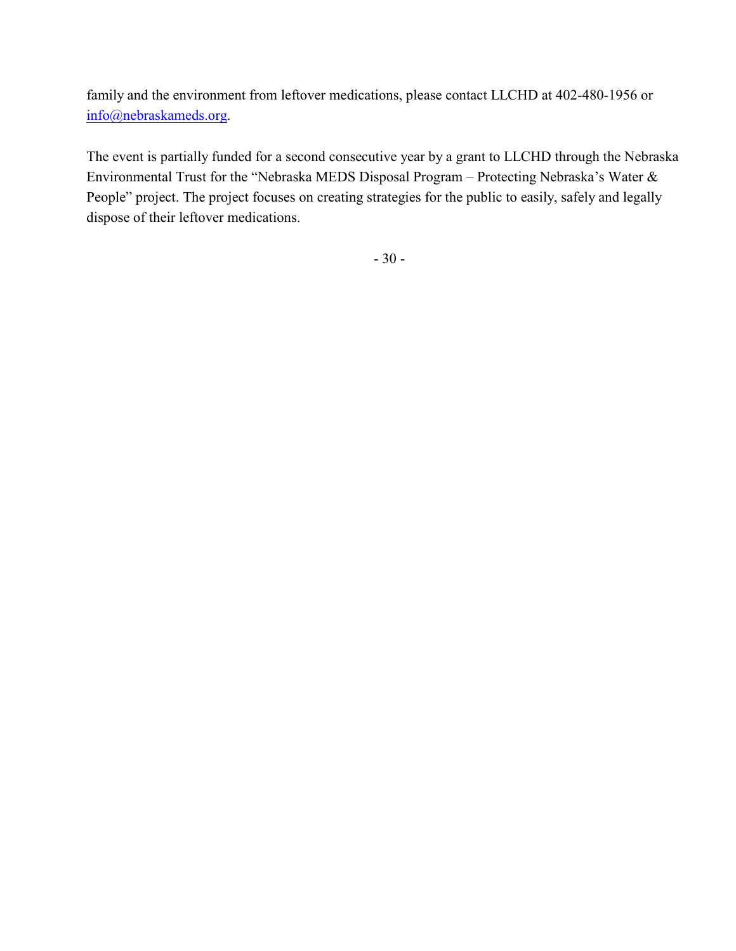family and the environment from leftover medications, please contact LLCHD at 402-480-1956 or [info@nebraskameds.org](mailto:info@leftovermeds.com).

The event is partially funded for a second consecutive year by a grant to LLCHD through the Nebraska Environmental Trust for the "Nebraska MEDS Disposal Program – Protecting Nebraska's Water & People" project. The project focuses on creating strategies for the public to easily, safely and legally dispose of their leftover medications.

- 30 -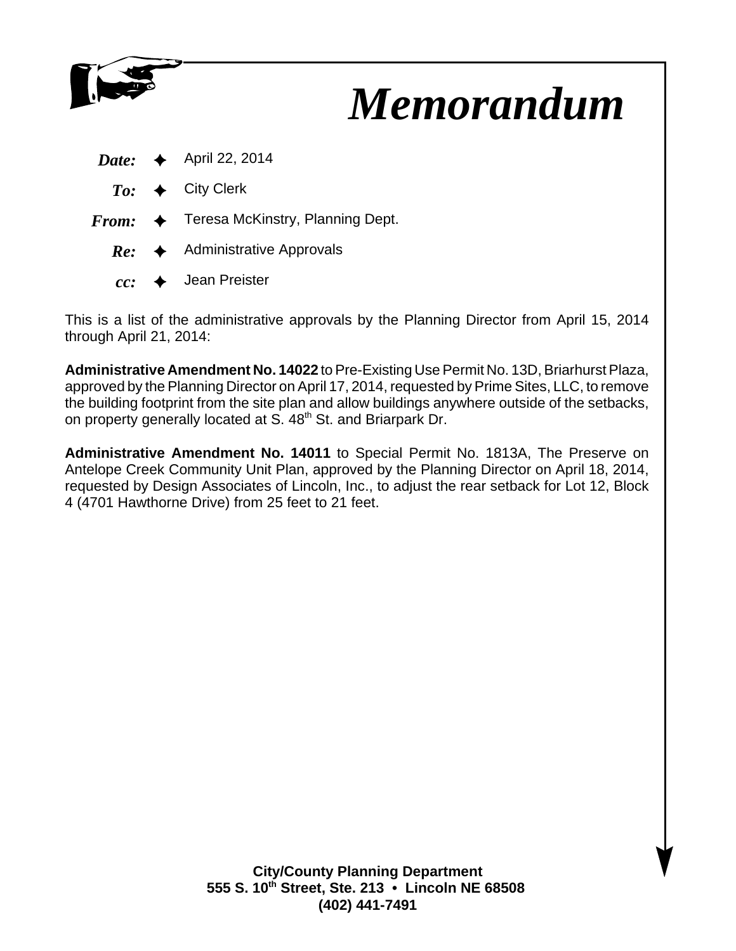

# *Memorandum*

|  | <i>Date:</i> $\leftrightarrow$ April 22, 2014            |
|--|----------------------------------------------------------|
|  | $To: \leftrightarrow$ City Clerk                         |
|  | $From: \Leftrightarrow$ Teresa McKinstry, Planning Dept. |
|  | $Re:$ Administrative Approvals                           |
|  | $cc:$ $\rightarrow$ Jean Preister                        |

This is a list of the administrative approvals by the Planning Director from April 15, 2014 through April 21, 2014:

**Administrative Amendment No. 14022** to Pre-Existing Use Permit No. 13D, Briarhurst Plaza, approved by the Planning Director on April 17, 2014, requested by Prime Sites, LLC, to remove the building footprint from the site plan and allow buildings anywhere outside of the setbacks, on property generally located at S. 48<sup>th</sup> St. and Briarpark Dr.

**Administrative Amendment No. 14011** to Special Permit No. 1813A, The Preserve on Antelope Creek Community Unit Plan, approved by the Planning Director on April 18, 2014, requested by Design Associates of Lincoln, Inc., to adjust the rear setback for Lot 12, Block 4 (4701 Hawthorne Drive) from 25 feet to 21 feet.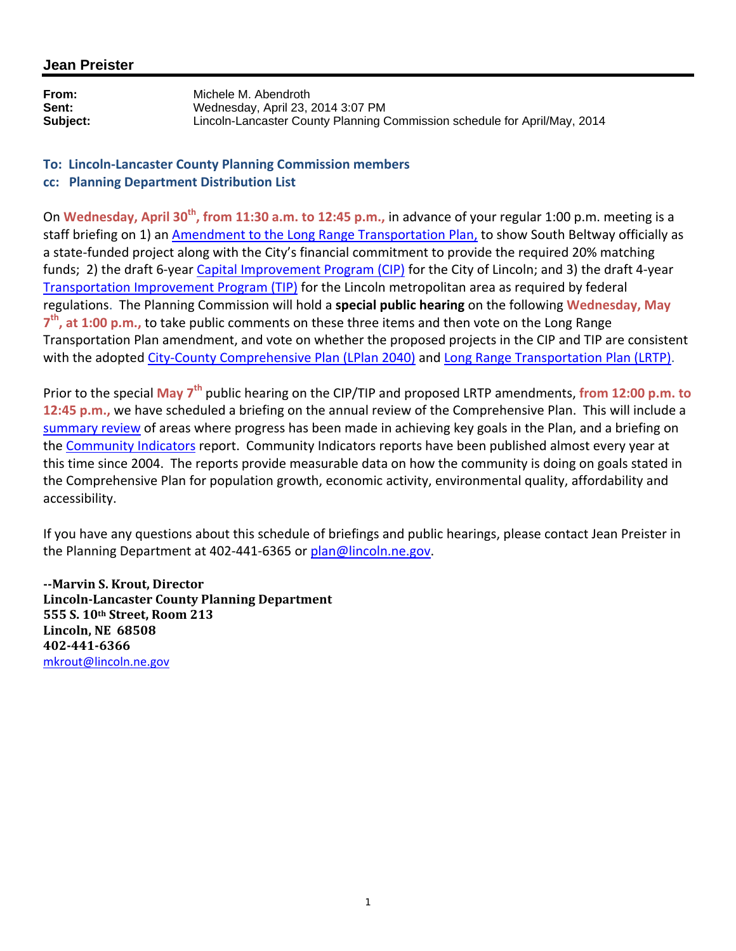## **Jean Preister**

**From:** Michele M. Abendroth **Sent:** Wednesday, April 23, 2014 3:07 PM<br> **Subiect:** Lincoln-Lancaster County Planning ( **Subject:** Lincoln-Lancaster County Planning Commission schedule for April/May, 2014

### **To: Lincoln‐Lancaster County Planning Commission members cc: Planning Department Distribution List**

On **Wednesday, April 30th, from 11:30 a.m. to 12:45 p.m.,** in advance of your regular 1:00 p.m. meeting is a staff briefing on 1) an Amendment to the Long Range Transportation Plan, to show South Beltway officially as a state-funded project along with the City's financial commitment to provide the required 20% matching funds; 2) the draft 6‐year Capital Improvement Program (CIP) for the City of Lincoln; and 3) the draft 4‐year Transportation Improvement Program (TIP) for the Lincoln metropolitan area as required by federal regulations. The Planning Commission will hold a **special public hearing** on the following **Wednesday, May 7th, at 1:00 p.m.,** to take public comments on these three items and then vote on the Long Range Transportation Plan amendment, and vote on whether the proposed projects in the CIP and TIP are consistent with the adopted City-County Comprehensive Plan (LPlan 2040) and Long Range Transportation Plan (LRTP).

Prior to the special **May 7th** public hearing on the CIP/TIP and proposed LRTP amendments, **from 12:00 p.m. to 12:45 p.m.,** we have scheduled a briefing on the annual review of the Comprehensive Plan. This will include a summary review of areas where progress has been made in achieving key goals in the Plan, and a briefing on the Community Indicators report. Community Indicators reports have been published almost every year at this time since 2004. The reports provide measurable data on how the community is doing on goals stated in the Comprehensive Plan for population growth, economic activity, environmental quality, affordability and accessibility.

If you have any questions about this schedule of briefings and public hearings, please contact Jean Preister in the Planning Department at 402-441-6365 or plan@lincoln.ne.gov.

**Marvin S. Krout, Director LincolnLancaster County Planning Department 555 S. 10th Street, Room 213 Lincoln, NE 68508 4024416366** mkrout@lincoln.ne.gov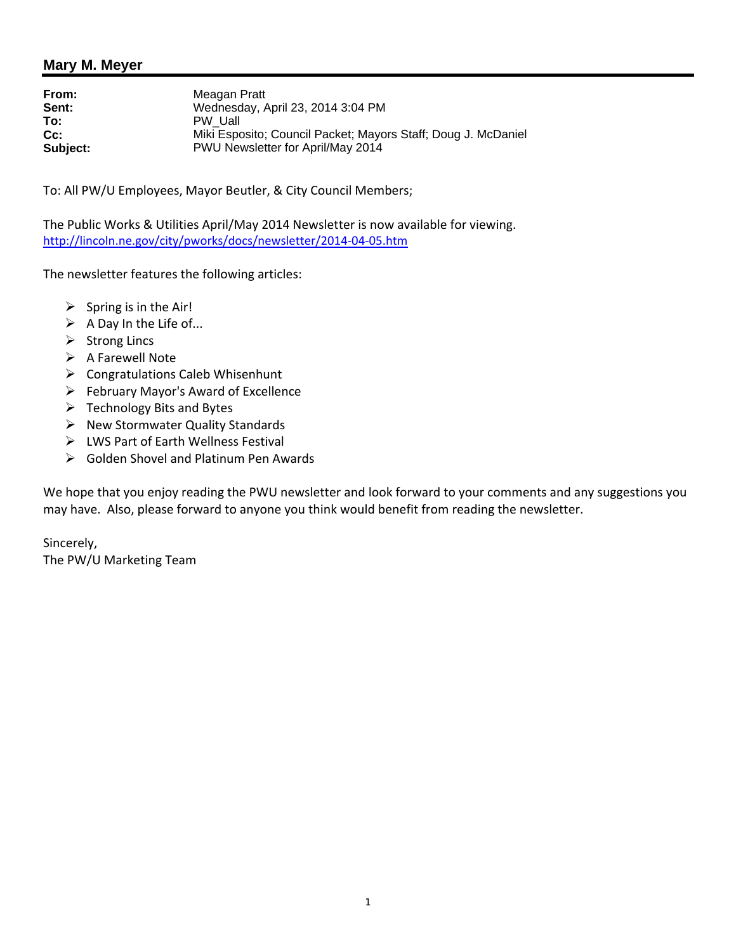**From:** Meagan Pratt<br> **Sent:** Wednesday. *I* **Sent:** Wednesday, April 23, 2014 3:04 PM<br> **To:** PW Uall **To:** PW\_Uall **Cc:** Miki Esposito; Council Packet; Mayors Staff; Doug J. McDaniel<br>
Subject: PWU Newsletter for April/May 2014 **Subject:** PWU Newsletter for April/May 2014

To: All PW/U Employees, Mayor Beutler, & City Council Members;

The Public Works & Utilities April/May 2014 Newsletter is now available for viewing. http://lincoln.ne.gov/city/pworks/docs/newsletter/2014-04-05.htm

The newsletter features the following articles:

- $\triangleright$  Spring is in the Air!
- $\triangleright$  A Day In the Life of...
- $\triangleright$  Strong Lincs
- $\triangleright$  A Farewell Note
- $\triangleright$  Congratulations Caleb Whisenhunt
- February Mayor's Award of Excellence
- $\triangleright$  Technology Bits and Bytes
- $\triangleright$  New Stormwater Quality Standards
- LWS Part of Earth Wellness Festival
- Golden Shovel and Platinum Pen Awards

We hope that you enjoy reading the PWU newsletter and look forward to your comments and any suggestions you may have. Also, please forward to anyone you think would benefit from reading the newsletter.

Sincerely, The PW/U Marketing Team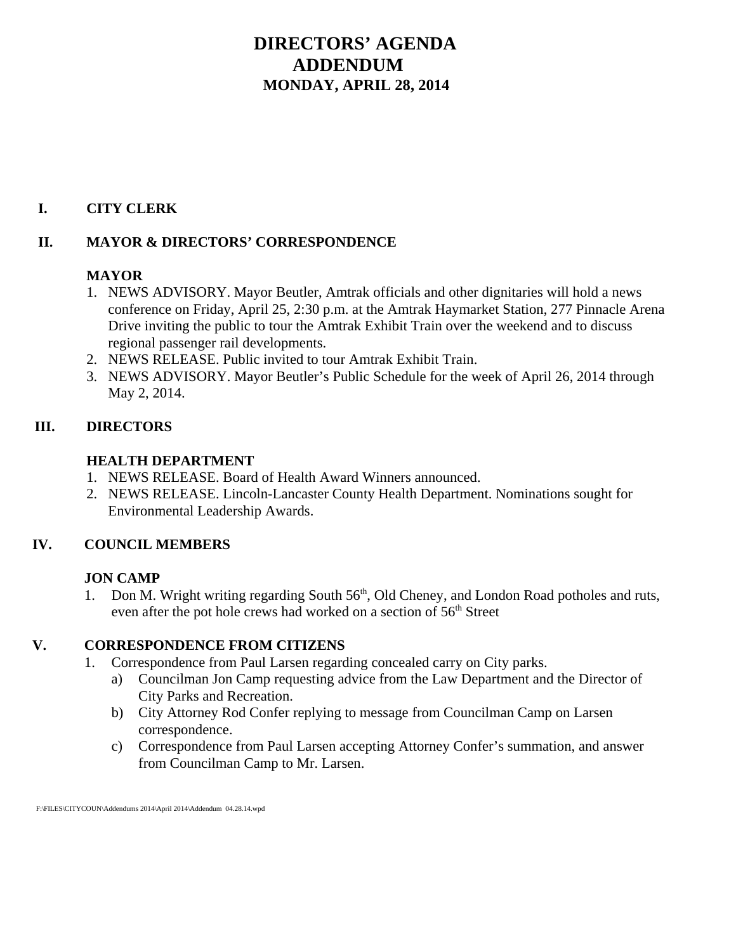# **DIRECTORS' AGENDA ADDENDUM MONDAY, APRIL 28, 2014**

## **I. CITY CLERK**

## **II. MAYOR & DIRECTORS' CORRESPONDENCE**

## **MAYOR**

- 1. NEWS ADVISORY. Mayor Beutler, Amtrak officials and other dignitaries will hold a news conference on Friday, April 25, 2:30 p.m. at the Amtrak Haymarket Station, 277 Pinnacle Arena Drive inviting the public to tour the Amtrak Exhibit Train over the weekend and to discuss regional passenger rail developments.
- 2. NEWS RELEASE. Public invited to tour Amtrak Exhibit Train.
- 3. NEWS ADVISORY. Mayor Beutler's Public Schedule for the week of April 26, 2014 through May 2, 2014.

## **III. DIRECTORS**

## **HEALTH DEPARTMENT**

- 1. NEWS RELEASE. Board of Health Award Winners announced.
- 2. NEWS RELEASE. Lincoln-Lancaster County Health Department. Nominations sought for Environmental Leadership Awards.

## **IV. COUNCIL MEMBERS**

## **JON CAMP**

1. Don M. Wright writing regarding South  $56<sup>th</sup>$ , Old Cheney, and London Road potholes and ruts, even after the pot hole crews had worked on a section of 56<sup>th</sup> Street

## **V. CORRESPONDENCE FROM CITIZENS**

- 1. Correspondence from Paul Larsen regarding concealed carry on City parks.
	- a) Councilman Jon Camp requesting advice from the Law Department and the Director of City Parks and Recreation.
	- b) City Attorney Rod Confer replying to message from Councilman Camp on Larsen correspondence.
	- c) Correspondence from Paul Larsen accepting Attorney Confer's summation, and answer from Councilman Camp to Mr. Larsen.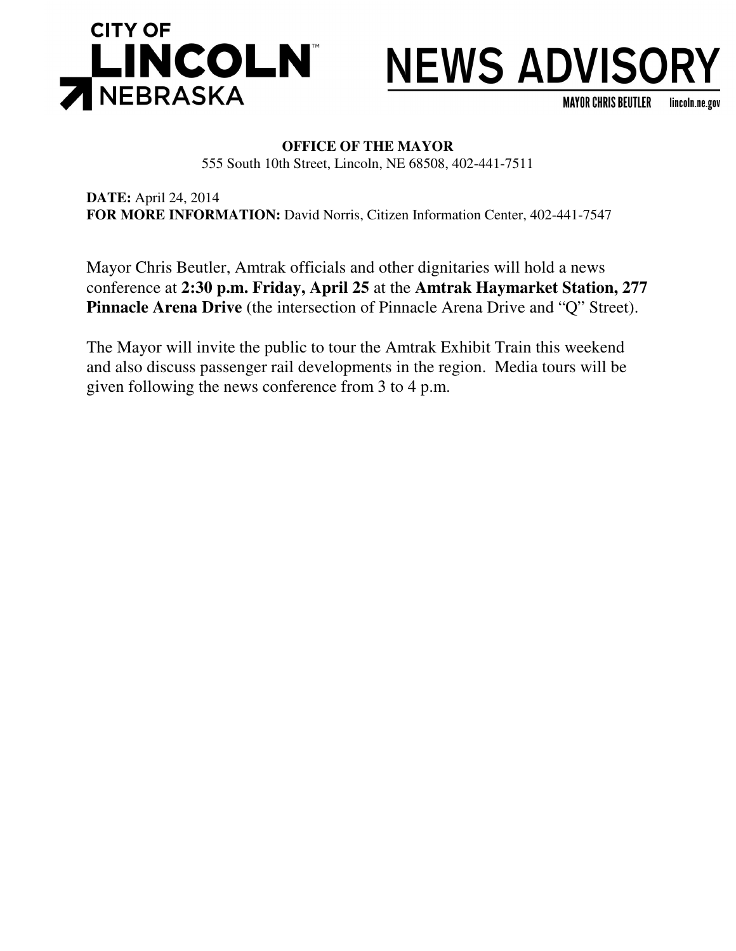

# **NEWS ADVISORY**

**MAYOR CHRIS BEUTLER** lincoln.ne.gov

## **OFFICE OF THE MAYOR**

555 South 10th Street, Lincoln, NE 68508, 402-441-7511

**DATE:** April 24, 2014 **FOR MORE INFORMATION:** David Norris, Citizen Information Center, 402-441-7547

Mayor Chris Beutler, Amtrak officials and other dignitaries will hold a news conference at **2:30 p.m. Friday, April 25** at the **Amtrak Haymarket Station, 277 Pinnacle Arena Drive** (the intersection of Pinnacle Arena Drive and "Q" Street).

The Mayor will invite the public to tour the Amtrak Exhibit Train this weekend and also discuss passenger rail developments in the region. Media tours will be given following the news conference from 3 to 4 p.m.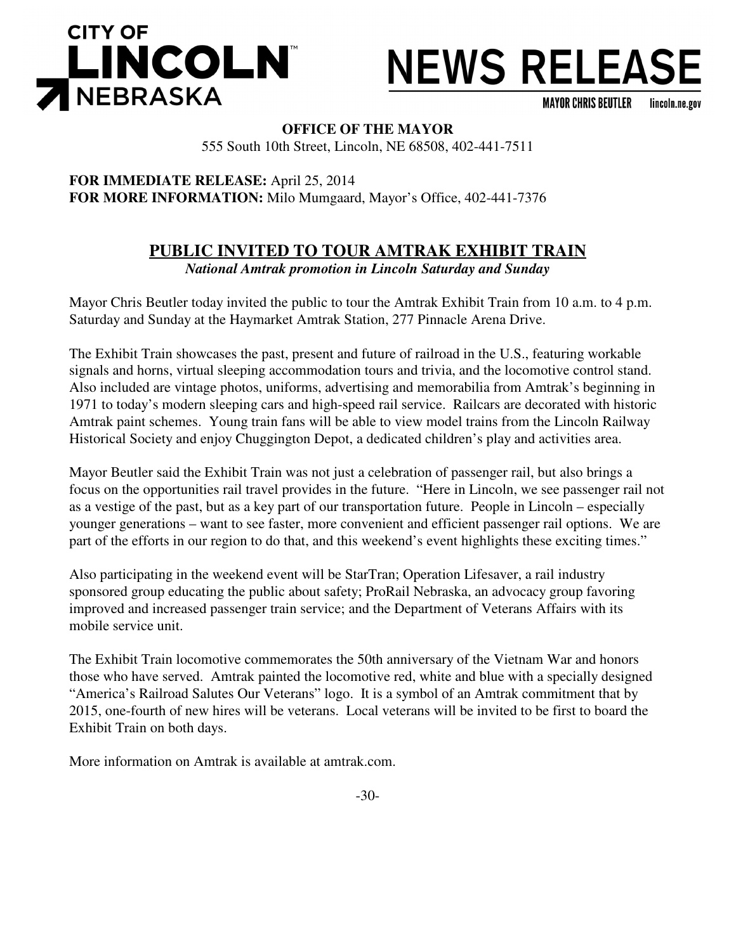



**MAYOR CHRIS BEUTLER** lincoln.ne.gov

**OFFICE OF THE MAYOR**

555 South 10th Street, Lincoln, NE 68508, 402-441-7511

**FOR IMMEDIATE RELEASE:** April 25, 2014 **FOR MORE INFORMATION:** Milo Mumgaard, Mayor's Office, 402-441-7376

## **PUBLIC INVITED TO TOUR AMTRAK EXHIBIT TRAIN**

*National Amtrak promotion in Lincoln Saturday and Sunday*

Mayor Chris Beutler today invited the public to tour the Amtrak Exhibit Train from 10 a.m. to 4 p.m. Saturday and Sunday at the Haymarket Amtrak Station, 277 Pinnacle Arena Drive.

The Exhibit Train showcases the past, present and future of railroad in the U.S., featuring workable signals and horns, virtual sleeping accommodation tours and trivia, and the locomotive control stand. Also included are vintage photos, uniforms, advertising and memorabilia from Amtrak's beginning in 1971 to today's modern sleeping cars and high-speed rail service. Railcars are decorated with historic Amtrak paint schemes. Young train fans will be able to view model trains from the Lincoln Railway Historical Society and enjoy Chuggington Depot, a dedicated children's play and activities area.

Mayor Beutler said the Exhibit Train was not just a celebration of passenger rail, but also brings a focus on the opportunities rail travel provides in the future. "Here in Lincoln, we see passenger rail not as a vestige of the past, but as a key part of our transportation future. People in Lincoln – especially younger generations – want to see faster, more convenient and efficient passenger rail options. We are part of the efforts in our region to do that, and this weekend's event highlights these exciting times."

Also participating in the weekend event will be StarTran; Operation Lifesaver, a rail industry sponsored group educating the public about safety; ProRail Nebraska, an advocacy group favoring improved and increased passenger train service; and the Department of Veterans Affairs with its mobile service unit.

The Exhibit Train locomotive commemorates the 50th anniversary of the Vietnam War and honors those who have served. Amtrak painted the locomotive red, white and blue with a specially designed "America's Railroad Salutes Our Veterans" logo. It is a symbol of an Amtrak commitment that by 2015, one-fourth of new hires will be veterans. Local veterans will be invited to be first to board the Exhibit Train on both days.

More information on Amtrak is available at amtrak.com.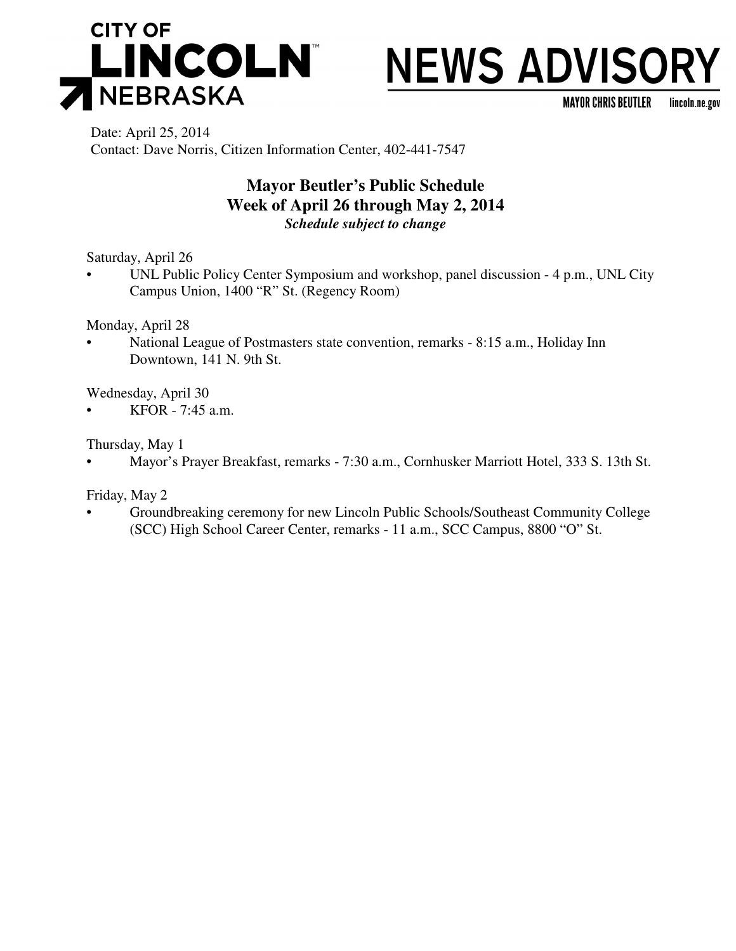

# **NEWS ADVISORY**

**MAYOR CHRIS BEUTLER** lincoln.ne.gov

Date: April 25, 2014 Contact: Dave Norris, Citizen Information Center, 402-441-7547

## **Mayor Beutler's Public Schedule Week of April 26 through May 2, 2014** *Schedule subject to change*

Saturday, April 26

• UNL Public Policy Center Symposium and workshop, panel discussion - 4 p.m., UNL City Campus Union, 1400 "R" St. (Regency Room)

Monday, April 28

• National League of Postmasters state convention, remarks - 8:15 a.m., Holiday Inn Downtown, 141 N. 9th St.

Wednesday, April 30

• KFOR - 7:45 a.m.

Thursday, May 1

• Mayor's Prayer Breakfast, remarks - 7:30 a.m., Cornhusker Marriott Hotel, 333 S. 13th St.

Friday, May 2

• Groundbreaking ceremony for new Lincoln Public Schools/Southeast Community College (SCC) High School Career Center, remarks - 11 a.m., SCC Campus, 8800 "O" St.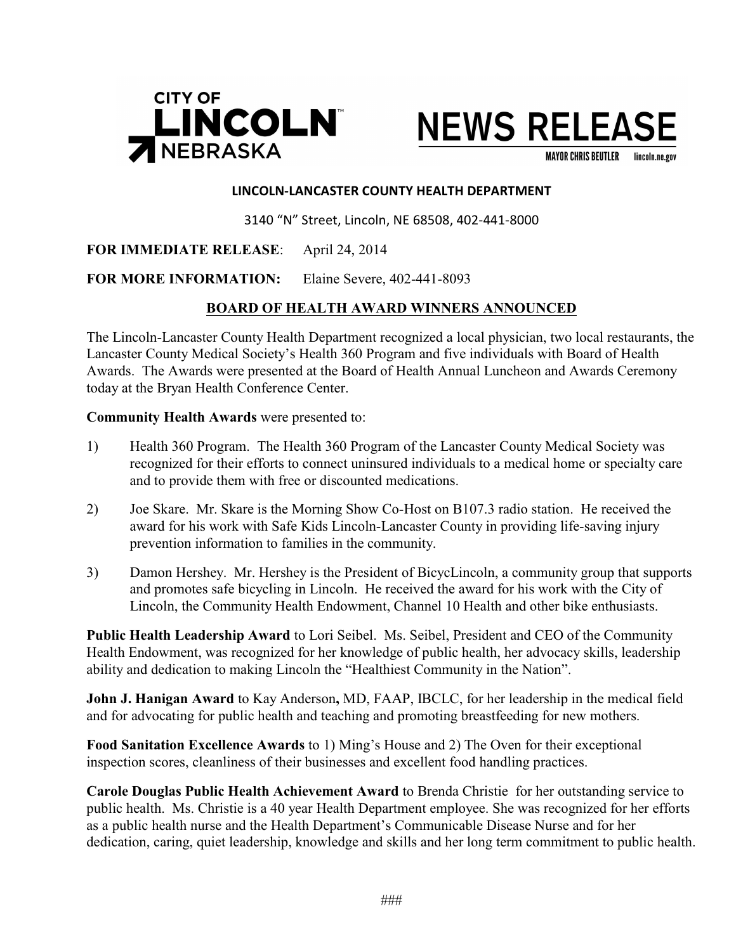



**MAYOR CHRIS BEUTLER** lincoln.ne.gov

#### **LINCOLN-LANCASTER COUNTY HEALTH DEPARTMENT**

3140 "N" Street, Lincoln, NE 68508, 402-441-8000

### **FOR IMMEDIATE RELEASE**: April 24, 2014

### **FOR MORE INFORMATION:** Elaine Severe, 402-441-8093

## **BOARD OF HEALTH AWARD WINNERS ANNOUNCED**

The Lincoln-Lancaster County Health Department recognized a local physician, two local restaurants, the Lancaster County Medical Society's Health 360 Program and five individuals with Board of Health Awards. The Awards were presented at the Board of Health Annual Luncheon and Awards Ceremony today at the Bryan Health Conference Center.

### **Community Health Awards** were presented to:

- 1) Health 360 Program. The Health 360 Program of the Lancaster County Medical Society was recognized for their efforts to connect uninsured individuals to a medical home or specialty care and to provide them with free or discounted medications.
- 2) Joe Skare. Mr. Skare is the Morning Show Co-Host on B107.3 radio station. He received the award for his work with Safe Kids Lincoln-Lancaster County in providing life-saving injury prevention information to families in the community.
- 3) Damon Hershey. Mr. Hershey is the President of BicycLincoln, a community group that supports and promotes safe bicycling in Lincoln. He received the award for his work with the City of Lincoln, the Community Health Endowment, Channel 10 Health and other bike enthusiasts.

**Public Health Leadership Award** to Lori Seibel. Ms. Seibel, President and CEO of the Community Health Endowment, was recognized for her knowledge of public health, her advocacy skills, leadership ability and dedication to making Lincoln the "Healthiest Community in the Nation".

**John J. Hanigan Award** to Kay Anderson**,** MD, FAAP, IBCLC, for her leadership in the medical field and for advocating for public health and teaching and promoting breastfeeding for new mothers.

**Food Sanitation Excellence Awards** to 1) Ming's House and 2) The Oven for their exceptional inspection scores, cleanliness of their businesses and excellent food handling practices.

**Carole Douglas Public Health Achievement Award** to Brenda Christie for her outstanding service to public health. Ms. Christie is a 40 year Health Department employee. She was recognized for her efforts as a public health nurse and the Health Department's Communicable Disease Nurse and for her dedication, caring, quiet leadership, knowledge and skills and her long term commitment to public health.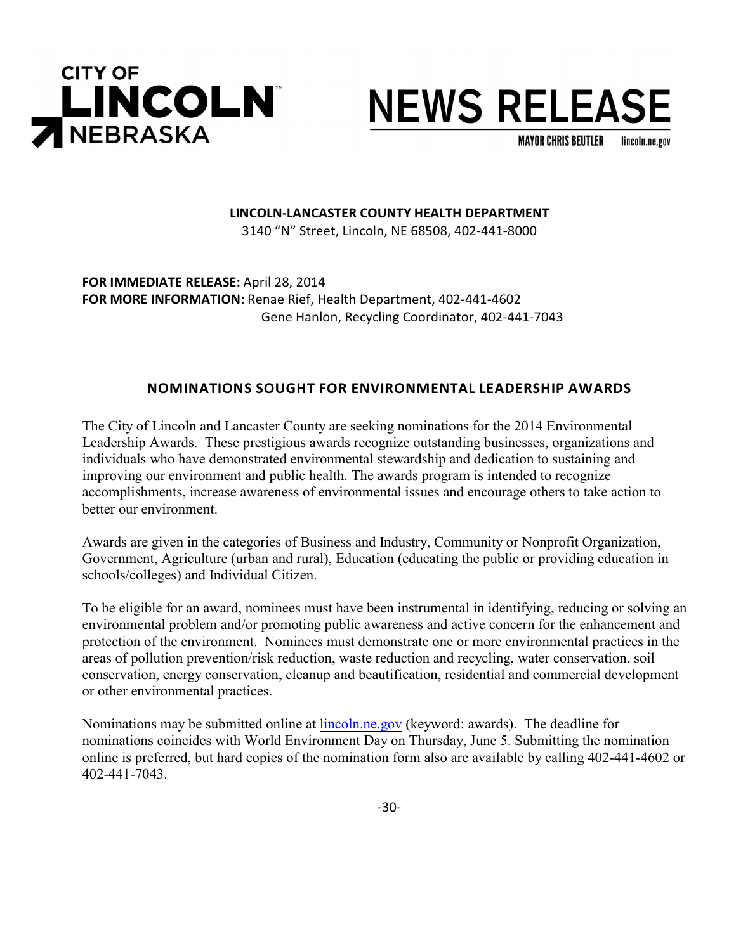

# **NEWS RELEASE**

**MAYOR CHRIS BEUTLER** lincoln.ne.gov

## **LINCOLN-LANCASTER COUNTY HEALTH DEPARTMENT**

3140 "N" Street, Lincoln, NE 68508, 402-441-8000

**FOR IMMEDIATE RELEASE:** April 28, 2014 **FOR MORE INFORMATION:** Renae Rief, Health Department, 402-441-4602 Gene Hanlon, Recycling Coordinator, 402-441-7043

## **NOMINATIONS SOUGHT FOR ENVIRONMENTAL LEADERSHIP AWARDS**

The City of Lincoln and Lancaster County are seeking nominations for the 2014 Environmental Leadership Awards. These prestigious awards recognize outstanding businesses, organizations and individuals who have demonstrated environmental stewardship and dedication to sustaining and improving our environment and public health. The awards program is intended to recognize accomplishments, increase awareness of environmental issues and encourage others to take action to better our environment.

Awards are given in the categories of Business and Industry, Community or Nonprofit Organization, Government, Agriculture (urban and rural), Education (educating the public or providing education in schools/colleges) and Individual Citizen.

To be eligible for an award, nominees must have been instrumental in identifying, reducing or solving an environmental problem and/or promoting public awareness and active concern for the enhancement and protection of the environment. Nominees must demonstrate one or more environmental practices in the areas of pollution prevention/risk reduction, waste reduction and recycling, water conservation, soil conservation, energy conservation, cleanup and beautification, residential and commercial development or other environmental practices.

Nominations may be submitted online at [lincoln.ne.gov](http://www.lincoln.ne.gov/) (keyword: awards). The deadline for nominations coincides with World Environment Day on Thursday, June 5. Submitting the nomination online is preferred, but hard copies of the nomination form also are available by calling 402-441-4602 or 402-441-7043.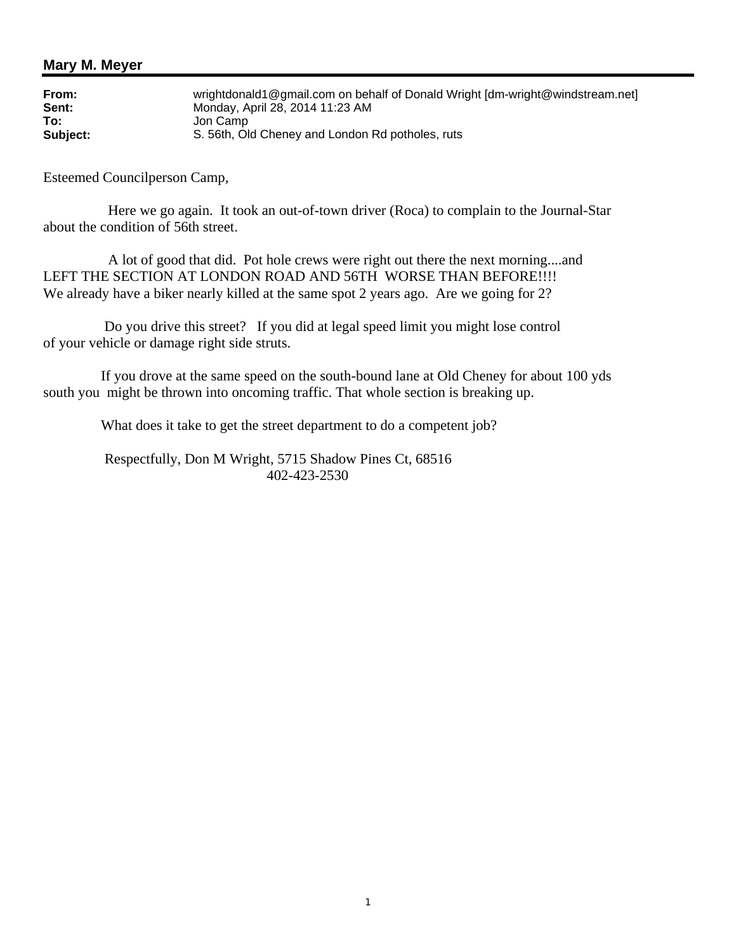| From:    | wrightdonald1@gmail.com on behalf of Donald Wright [dm-wright@windstream.net] |
|----------|-------------------------------------------------------------------------------|
| Sent:    | Monday, April 28, 2014 11:23 AM                                               |
| To:      | Jon Camp                                                                      |
| Subject: | S. 56th, Old Cheney and London Rd potholes, ruts                              |

Esteemed Councilperson Camp,

 Here we go again. It took an out-of-town driver (Roca) to complain to the Journal-Star about the condition of 56th street.

 A lot of good that did. Pot hole crews were right out there the next morning....and LEFT THE SECTION AT LONDON ROAD AND 56TH WORSE THAN BEFORE!!!! We already have a biker nearly killed at the same spot 2 years ago. Are we going for 2?

 Do you drive this street? If you did at legal speed limit you might lose control of your vehicle or damage right side struts.

 If you drove at the same speed on the south-bound lane at Old Cheney for about 100 yds south you might be thrown into oncoming traffic. That whole section is breaking up.

What does it take to get the street department to do a competent job?

 Respectfully, Don M Wright, 5715 Shadow Pines Ct, 68516 402-423-2530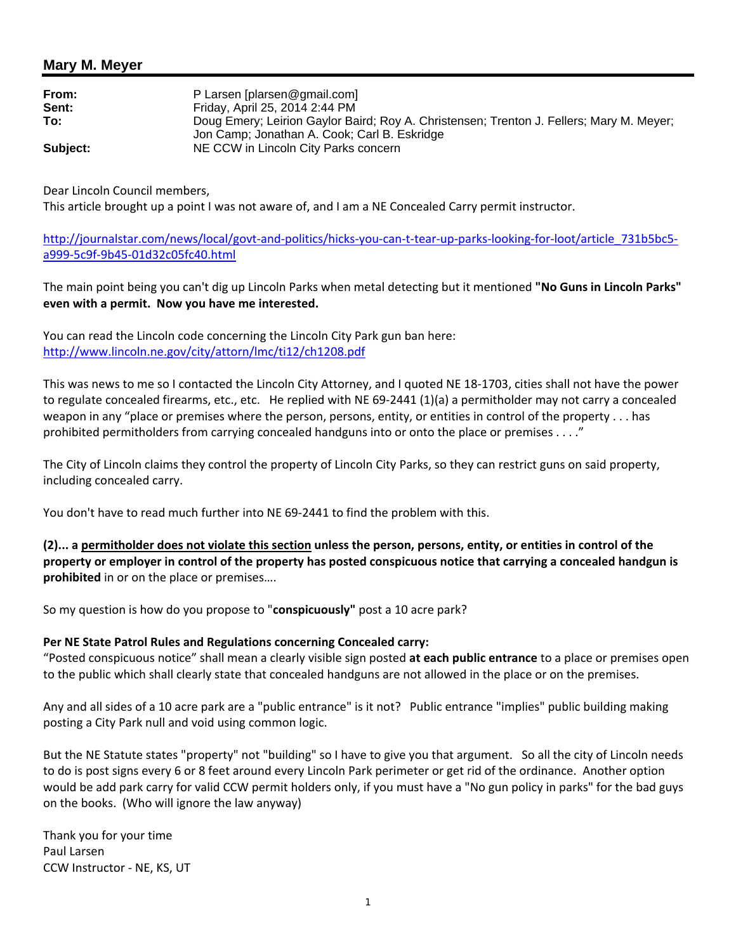| From:    | P Larsen [plarsen@gmail.com]                                                             |
|----------|------------------------------------------------------------------------------------------|
| Sent:    | Friday, April 25, 2014 2:44 PM                                                           |
| To:      | Doug Emery; Leirion Gaylor Baird; Roy A. Christensen; Trenton J. Fellers; Mary M. Meyer; |
|          | Jon Camp; Jonathan A. Cook; Carl B. Eskridge                                             |
| Subject: | NE CCW in Lincoln City Parks concern                                                     |

Dear Lincoln Council members,

This article brought up a point I was not aware of, and I am a NE Concealed Carry permit instructor.

http://journalstar.com/news/local/govt-and-politics/hicks-you-can-t-tear-up-parks-looking-for-loot/article\_731b5bc5 a999-5c9f-9b45-01d32c05fc40.html

The main point being you can't dig up Lincoln Parks when metal detecting but it mentioned **"No Guns in Lincoln Parks" even with a permit. Now you have me interested.**

You can read the Lincoln code concerning the Lincoln City Park gun ban here: http://www.lincoln.ne.gov/city/attorn/lmc/ti12/ch1208.pdf

This was news to me so I contacted the Lincoln City Attorney, and I quoted NE 18-1703, cities shall not have the power to regulate concealed firearms, etc., etc. He replied with NE 69-2441 (1)(a) a permitholder may not carry a concealed weapon in any "place or premises where the person, persons, entity, or entities in control of the property . . . has prohibited permitholders from carrying concealed handguns into or onto the place or premises . . . ."

The City of Lincoln claims they control the property of Lincoln City Parks, so they can restrict guns on said property, including concealed carry.

You don't have to read much further into NE 69-2441 to find the problem with this.

**(2)... a permitholder does not violate this section unless the person, persons, entity, or entities in control of the property or employer in control of the property has posted conspicuous notice that carrying a concealed handgun is prohibited** in or on the place or premises….

So my question is how do you propose to "**conspicuously"** post a 10 acre park?

### **Per NE State Patrol Rules and Regulations concerning Concealed carry:**

"Posted conspicuous notice" shall mean a clearly visible sign posted **at each public entrance** to a place or premises open to the public which shall clearly state that concealed handguns are not allowed in the place or on the premises.

Any and all sides of a 10 acre park are a "public entrance" is it not? Public entrance "implies" public building making posting a City Park null and void using common logic.

But the NE Statute states "property" not "building" so I have to give you that argument. So all the city of Lincoln needs to do is post signs every 6 or 8 feet around every Lincoln Park perimeter or get rid of the ordinance. Another option would be add park carry for valid CCW permit holders only, if you must have a "No gun policy in parks" for the bad guys on the books. (Who will ignore the law anyway)

Thank you for your time Paul Larsen CCW Instructor - NE, KS, UT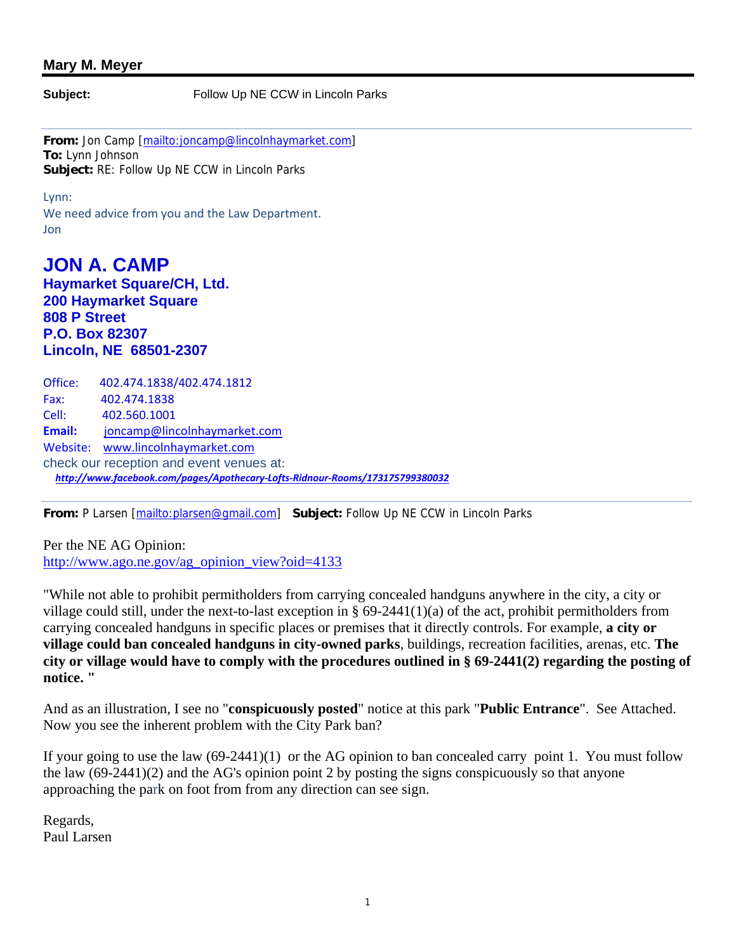**Subject:** Follow Up NE CCW in Lincoln Parks

**From:** Jon Camp [mailto:joncamp@lincolnhaymarket.com] **To:** Lynn Johnson **Subject:** RE: Follow Up NE CCW in Lincoln Parks

Lynn:

We need advice from you and the Law Department. Jon

## **JON A. CAMP Haymarket Square/CH, Ltd. 200 Haymarket Square 808 P Street P.O. Box 82307 Lincoln, NE 68501-2307**

Office: 402.474.1838/402.474.1812 Fax: 402.474.1838 Cell: 402.560.1001 **Email:** joncamp@lincolnhaymarket.com Website: www.lincolnhaymarket.com check our reception and event venues at:  *http://www.facebook.com/pages/Apothecary-Lofts-Ridnour-Rooms/173175799380032*

**From:** P Larsen [mailto:plarsen@gmail.com] **Subject:** Follow Up NE CCW in Lincoln Parks

Per the NE AG Opinion: http://www.ago.ne.gov/ag\_opinion\_view?oid=4133

"While not able to prohibit permitholders from carrying concealed handguns anywhere in the city, a city or village could still, under the next-to-last exception in  $\S 69-2441(1)(a)$  of the act, prohibit permitholders from carrying concealed handguns in specific places or premises that it directly controls. For example, **a city or village could ban concealed handguns in city-owned parks**, buildings, recreation facilities, arenas, etc. **The city or village would have to comply with the procedures outlined in § 69-2441(2) regarding the posting of notice. "**

And as an illustration, I see no "**conspicuously posted**" notice at this park "**Public Entrance**". See Attached. Now you see the inherent problem with the City Park ban?

If your going to use the law (69-2441)(1) or the AG opinion to ban concealed carry point 1. You must follow the law (69-2441)(2) and the AG's opinion point 2 by posting the signs conspicuously so that anyone approaching the park on foot from from any direction can see sign.

Regards, Paul Larsen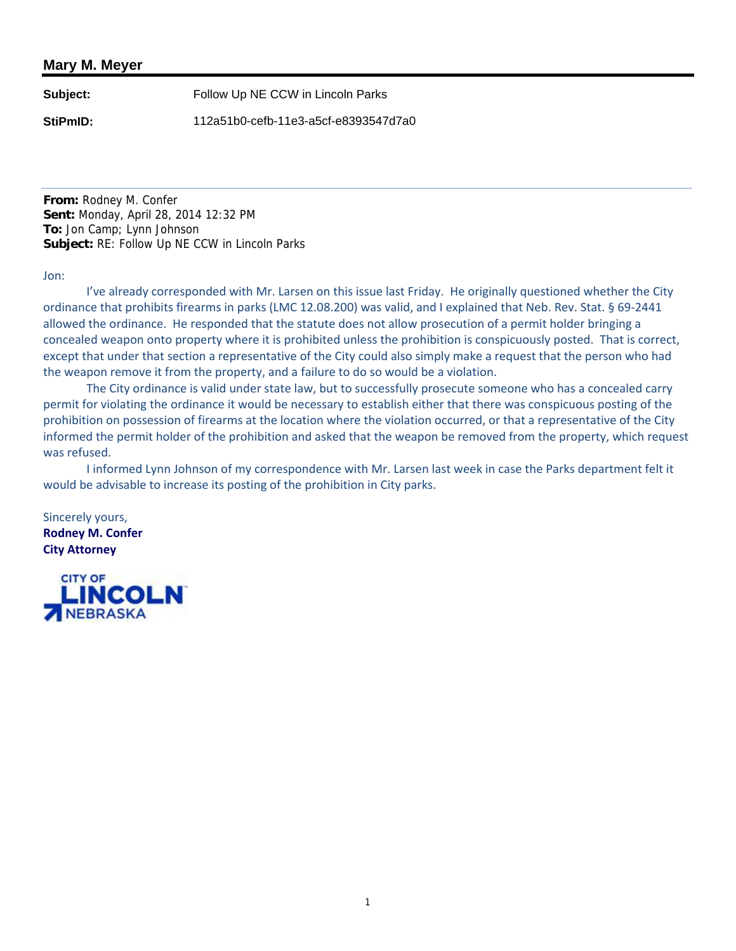**Subject:** Follow Up NE CCW in Lincoln Parks

**StiPmID:** 112a51b0-cefb-11e3-a5cf-e8393547d7a0

**From:** Rodney M. Confer **Sent:** Monday, April 28, 2014 12:32 PM **To:** Jon Camp; Lynn Johnson **Subject:** RE: Follow Up NE CCW in Lincoln Parks

#### Jon:

I've already corresponded with Mr. Larsen on this issue last Friday. He originally questioned whether the City ordinance that prohibits firearms in parks (LMC 12.08.200) was valid, and I explained that Neb. Rev. Stat. § 69-2441 allowed the ordinance. He responded that the statute does not allow prosecution of a permit holder bringing a concealed weapon onto property where it is prohibited unless the prohibition is conspicuously posted. That is correct, except that under that section a representative of the City could also simply make a request that the person who had the weapon remove it from the property, and a failure to do so would be a violation.

The City ordinance is valid under state law, but to successfully prosecute someone who has a concealed carry permit for violating the ordinance it would be necessary to establish either that there was conspicuous posting of the prohibition on possession of firearms at the location where the violation occurred, or that a representative of the City informed the permit holder of the prohibition and asked that the weapon be removed from the property, which request was refused.

I informed Lynn Johnson of my correspondence with Mr. Larsen last week in case the Parks department felt it would be advisable to increase its posting of the prohibition in City parks.

Sincerely yours, **Rodney M. Confer City Attorney** 

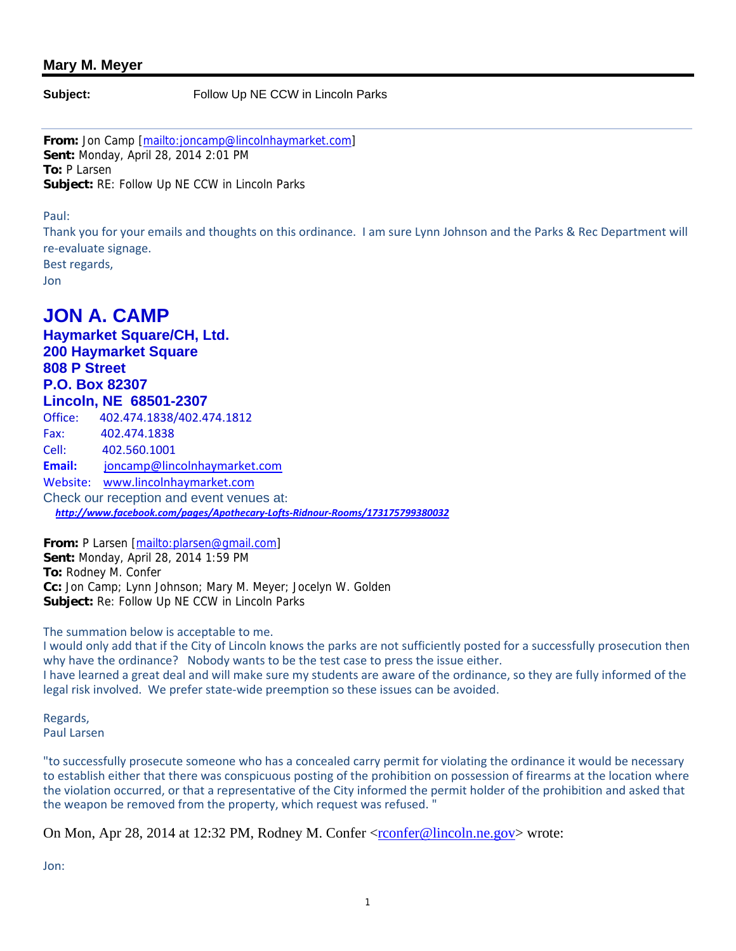**Subject:** Follow Up NE CCW in Lincoln Parks

**From:** Jon Camp [mailto:joncamp@lincolnhaymarket.com] **Sent:** Monday, April 28, 2014 2:01 PM **To:** P Larsen **Subject:** RE: Follow Up NE CCW in Lincoln Parks

Paul:

Thank you for your emails and thoughts on this ordinance. I am sure Lynn Johnson and the Parks & Rec Department will re-evaluate signage. Best regards,

Jon

# **JON A. CAMP**

**Haymarket Square/CH, Ltd. 200 Haymarket Square 808 P Street P.O. Box 82307 Lincoln, NE 68501-2307**  Office: 402.474.1838/402.474.1812 Fax: 402.474.1838 Cell: 402.560.1001 **Email:** joncamp@lincolnhaymarket.com Website: www.lincolnhaymarket.com Check our reception and event venues at:  *http://www.facebook.com/pages/Apothecary-Lofts-Ridnour-Rooms/173175799380032*

**From:** P Larsen [mailto:plarsen@gmail.com] **Sent:** Monday, April 28, 2014 1:59 PM **To:** Rodney M. Confer **Cc:** Jon Camp; Lynn Johnson; Mary M. Meyer; Jocelyn W. Golden **Subject:** Re: Follow Up NE CCW in Lincoln Parks

#### The summation below is acceptable to me.

I would only add that if the City of Lincoln knows the parks are not sufficiently posted for a successfully prosecution then why have the ordinance? Nobody wants to be the test case to press the issue either. I have learned a great deal and will make sure my students are aware of the ordinance, so they are fully informed of the legal risk involved. We prefer state-wide preemption so these issues can be avoided.

Regards, Paul Larsen

"to successfully prosecute someone who has a concealed carry permit for violating the ordinance it would be necessary to establish either that there was conspicuous posting of the prohibition on possession of firearms at the location where the violation occurred, or that a representative of the City informed the permit holder of the prohibition and asked that the weapon be removed from the property, which request was refused. "

On Mon, Apr 28, 2014 at 12:32 PM, Rodney M. Confer <rconfer@lincoln.ne.gov> wrote:

Jon: